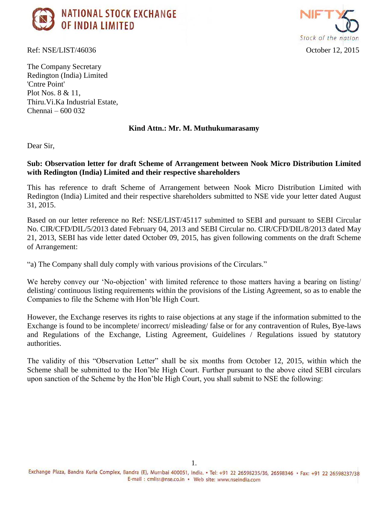

Ref: NSE/LIST/46036 October 12, 2015



The Company Secretary Redington (India) Limited 'Cntre Point' Plot Nos. 8 & 11, Thiru.Vi.Ka Industrial Estate, Chennai – 600 032

## **Kind Attn.: Mr. M. Muthukumarasamy**

Dear Sir,

## **Sub: Observation letter for draft Scheme of Arrangement between Nook Micro Distribution Limited with Redington (India) Limited and their respective shareholders**

This has reference to draft Scheme of Arrangement between Nook Micro Distribution Limited with Redington (India) Limited and their respective shareholders submitted to NSE vide your letter dated August 31, 2015.

Based on our letter reference no Ref: NSE/LIST/45117 submitted to SEBI and pursuant to SEBI Circular No. CIR/CFD/DIL/5/2013 dated February 04, 2013 and SEBI Circular no. CIR/CFD/DIL/8/2013 dated May 21, 2013, SEBI has vide letter dated October 09, 2015, has given following comments on the draft Scheme of Arrangement:

"a) The Company shall duly comply with various provisions of the Circulars."

We hereby convey our 'No-objection' with limited reference to those matters having a bearing on listing/ delisting/ continuous listing requirements within the provisions of the Listing Agreement, so as to enable the Companies to file the Scheme with Hon'ble High Court.

However, the Exchange reserves its rights to raise objections at any stage if the information submitted to the Exchange is found to be incomplete/ incorrect/ misleading/ false or for any contravention of Rules, Bye-laws and Regulations of the Exchange, Listing Agreement, Guidelines / Regulations issued by statutory authorities.

The validity of this "Observation Letter" shall be six months from October 12, 2015, within which the Scheme shall be submitted to the Hon'ble High Court. Further pursuant to the above cited SEBI circulars upon sanction of the Scheme by the Hon'ble High Court, you shall submit to NSE the following: